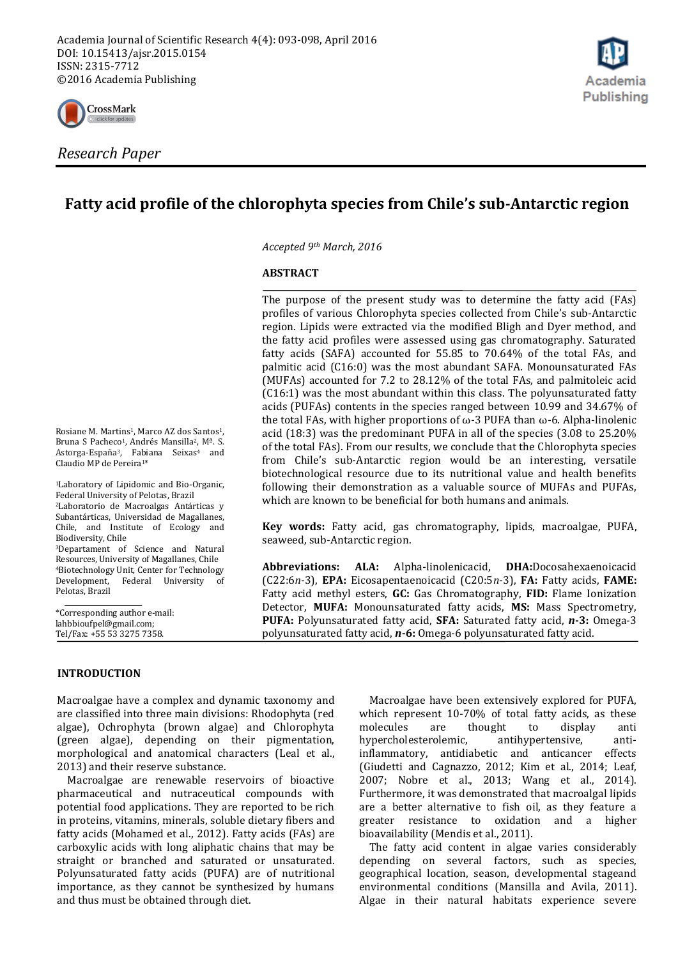

# **Fatty acid profile of the chlorophyta species from Chile's sub-Antarctic region**

*Accepted 9th March, 2016*

### **ABSTRACT**

The purpose of the present study was to determine the fatty acid (FAs) profiles of various Chlorophyta species collected from Chile's sub-Antarctic region. Lipids were extracted via the modified Bligh and Dyer method, and the fatty acid profiles were assessed using gas chromatography. Saturated fatty acids (SAFA) accounted for 55.85 to 70.64% of the total FAs, and palmitic acid (C16:0) was the most abundant SAFA. Monounsaturated FAs (MUFAs) accounted for 7.2 to 28.12% of the total FAs, and palmitoleic acid (C16:1) was the most abundant within this class. The polyunsaturated fatty acids (PUFAs) contents in the species ranged between 10.99 and 34.67% of the total FAs, with higher proportions of ω-3 PUFA than ω-6. Alpha-linolenic acid (18:3) was the predominant PUFA in all of the species (3.08 to 25.20% of the total FAs). From our results, we conclude that the Chlorophyta species from Chile's sub-Antarctic region would be an interesting, versatile biotechnological resource due to its nutritional value and health benefits following their demonstration as a valuable source of MUFAs and PUFAs, which are known to be beneficial for both humans and animals.

**Key words:** Fatty acid, gas chromatography, lipids, macroalgae, PUFA, seaweed, sub-Antarctic region.

**Abbreviations: ALA:** Alpha-linolenicacid, **DHA:**Docosahexaenoicacid (C22:6*n*-3), **EPA:** Eicosapentaenoicacid (C20:5*n*-3), **FA:** Fatty acids, **FAME:**  Fatty acid methyl esters, **GC:** Gas Chromatography, **FID:** Flame Ionization Detector, **MUFA:** Monounsaturated fatty acids, **MS:** Mass Spectrometry, **PUFA:** Polyunsaturated fatty acid, **SFA:** Saturated fatty acid, *n***-3:** Omega-3 polyunsaturated fatty acid, *n***-6:** Omega-6 polyunsaturated fatty acid.

Bruna S Pacheco<sup>1</sup>, Andrés Mansilla<sup>2</sup>, M<sup>a</sup>. S. Astorga-España<sup>3</sup>, Fabiana Seixas<sup>4</sup> and Claudio MP de Pereira1\*

Rosiane M. Martins<sup>1</sup>, Marco AZ dos Santos<sup>1</sup>,

<sup>1</sup>Laboratory of Lipidomic and Bio-Organic, Federal University of Pelotas, Brazil <sup>2</sup>Laboratorio de Macroalgas Antárticas y Subantárticas, Universidad de Magallanes, Chile, and Institute of Ecology and Biodiversity, Chile <sup>3</sup>Departament of Science and Natural

Resources, University of Magallanes, Chile <sup>4</sup>Biotechnology Unit, Center for Technology Development, Federal University of Pelotas, Brazil

\*Corresponding author e-mail: lahbbioufpel@gmail.com; Tel/Fax: +55 53 3275 7358.

# **INTRODUCTION**

Macroalgae have a complex and dynamic taxonomy and are classified into three main divisions: Rhodophyta (red algae), Ochrophyta (brown algae) and Chlorophyta (green algae), depending on their pigmentation, morphological and anatomical characters (Leal et al., 2013) and their reserve substance.

Macroalgae are renewable reservoirs of bioactive pharmaceutical and nutraceutical compounds with potential food applications. They are reported to be rich in proteins, vitamins, minerals, soluble dietary fibers and fatty acids (Mohamed et al., 2012). Fatty acids (FAs) are carboxylic acids with long aliphatic chains that may be straight or branched and saturated or unsaturated. Polyunsaturated fatty acids (PUFA) are of nutritional importance, as they cannot be synthesized by humans and thus must be obtained through diet.

Macroalgae have been extensively explored for PUFA, which represent 10-70% of total fatty acids, as these molecules are thought to display anti hypercholesterolemic, antihypertensive, antiinflammatory, antidiabetic and anticancer effects (Giudetti and Cagnazzo, 2012; Kim et al., 2014; Leaf, 2007; Nobre et al., 2013; Wang et al., 2014). Furthermore, it was demonstrated that macroalgal lipids are a better alternative to fish oil, as they feature a greater resistance to oxidation and a higher bioavailability (Mendis et al., 2011).

The fatty acid content in algae varies considerably depending on several factors, such as species, geographical location, season, developmental stageand environmental conditions (Mansilla and Avila, 2011). Algae in their natural habitats experience severe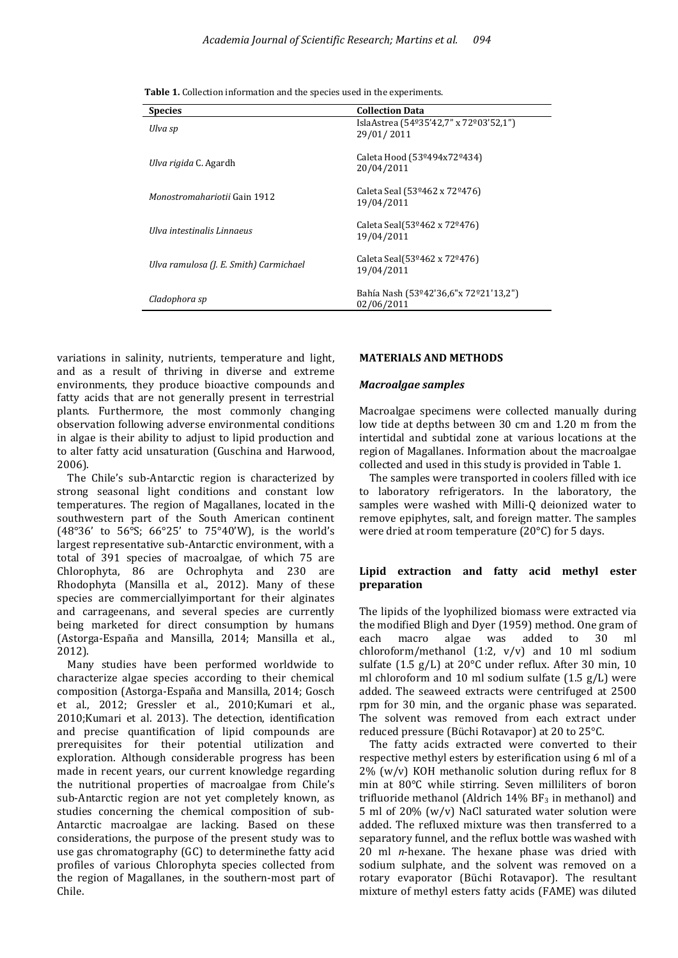**Table 1.** Collection information and the species used in the experiments.

| <b>Species</b>                         | <b>Collection Data</b>                               |  |
|----------------------------------------|------------------------------------------------------|--|
| Ulva sp                                | IslaAstrea (54º35'42,7" x 72º03'52,1")<br>29/01/2011 |  |
| <i>Ulva rigida</i> C. Agardh           | Caleta Hood (53º494x72º434)<br>20/04/2011            |  |
| Monostromahariotii Gain 1912           | Caleta Seal (53º462 x 72º476)<br>19/04/2011          |  |
| Ulva intestinalis Linnaeus             | Caleta Seal(53º462 x 72º476)<br>19/04/2011           |  |
| Ulva ramulosa (J. E. Smith) Carmichael | Caleta Seal(53º462 x 72º476)<br>19/04/2011           |  |
| Cladophora sp                          | Bahía Nash (53º42'36,6"x 72º21'13,2")<br>02/06/2011  |  |

variations in salinity, nutrients, temperature and light, and as a result of thriving in diverse and extreme environments, they produce bioactive compounds and fatty acids that are not generally present in terrestrial plants. Furthermore, the most commonly changing observation following adverse environmental conditions in algae is their ability to adjust to lipid production and to alter fatty acid unsaturation (Guschina and Harwood, 2006).

The Chile's sub-Antarctic region is characterized by strong seasonal light conditions and constant low temperatures. The region of Magallanes, located in the southwestern part of the South American continent (48°36' to 56°S; 66°25' to 75°40'W), is the world's largest representative sub-Antarctic environment, with a total of 391 species of macroalgae, of which 75 are Chlorophyta, 86 are Ochrophyta and 230 are Rhodophyta (Mansilla et al., 2012). Many of these species are commerciallyimportant for their alginates and carrageenans, and several species are currently being marketed for direct consumption by humans (Astorga-España and Mansilla, 2014; Mansilla et al., 2012).

Many studies have been performed worldwide to characterize algae species according to their chemical composition (Astorga-España and Mansilla, 2014; Gosch et al., 2012; Gressler et al., 2010;Kumari et al., 2010;Kumari et al. 2013). The detection, identification and precise quantification of lipid compounds are prerequisites for their potential utilization and exploration. Although considerable progress has been made in recent years, our current knowledge regarding the nutritional properties of macroalgae from Chile's sub-Antarctic region are not yet completely known, as studies concerning the chemical composition of sub-Antarctic macroalgae are lacking. Based on these considerations, the purpose of the present study was to use gas chromatography (GC) to determinethe fatty acid profiles of various Chlorophyta species collected from the region of Magallanes, in the southern-most part of Chile.

### **MATERIALS AND METHODS**

#### *Macroalgae samples*

Macroalgae specimens were collected manually during low tide at depths between 30 cm and 1.20 m from the intertidal and subtidal zone at various locations at the region of Magallanes. Information about the macroalgae collected and used in this study is provided in Table 1.

The samples were transported in coolers filled with ice to laboratory refrigerators. In the laboratory, the samples were washed with Milli-Q deionized water to remove epiphytes, salt, and foreign matter. The samples were dried at room temperature (20°C) for 5 days.

### **Lipid extraction and fatty acid methyl ester preparation**

The lipids of the lyophilized biomass were extracted via the modified Bligh and Dyer (1959) method. One gram of each macro algae was added to 30 ml chloroform/methanol (1:2, v/v) and 10 ml sodium sulfate (1.5 g/L) at 20°C under reflux. After 30 min, 10 ml chloroform and 10 ml sodium sulfate (1.5 g/L) were added. The seaweed extracts were centrifuged at 2500 rpm for 30 min, and the organic phase was separated. The solvent was removed from each extract under reduced pressure (Büchi Rotavapor) at 20 to 25°C.

The fatty acids extracted were converted to their respective methyl esters by esterification using 6 ml of a 2% (w/v) KOH methanolic solution during reflux for 8 min at 80°C while stirring. Seven milliliters of boron trifluoride methanol (Aldrich  $14\%$  BF<sub>3</sub> in methanol) and 5 ml of 20% (w/v) NaCl saturated water solution were added. The refluxed mixture was then transferred to a separatory funnel, and the reflux bottle was washed with 20 ml *n*-hexane. The hexane phase was dried with sodium sulphate, and the solvent was removed on a rotary evaporator (Büchi Rotavapor). The resultant mixture of methyl esters fatty acids (FAME) was diluted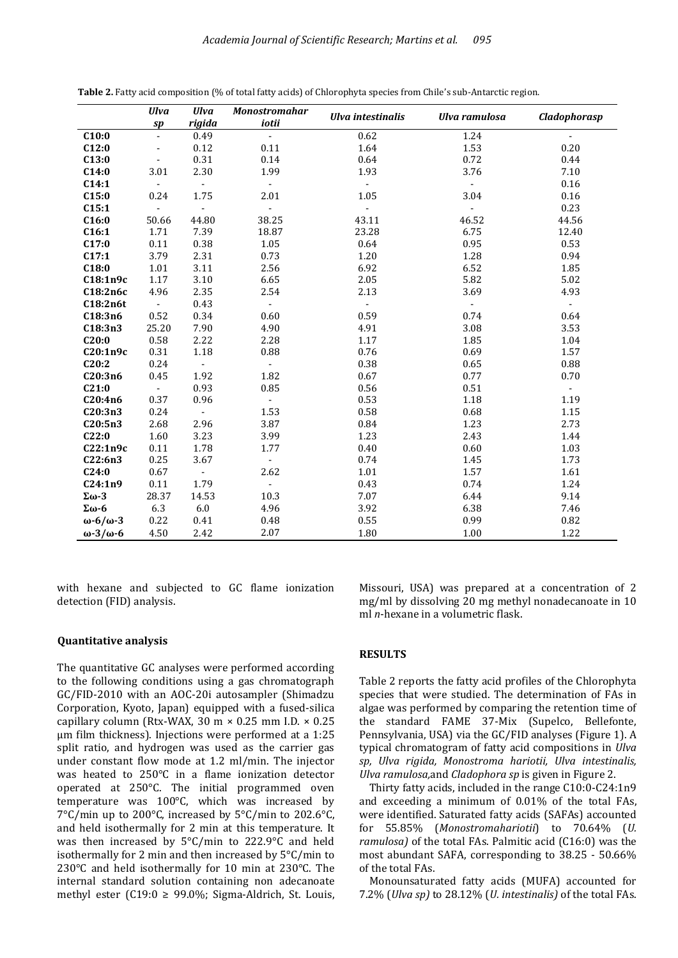|                          | <b>Ulva</b>                | <b>Ulva</b>      | <b>Monostromahar</b>      | <b>Ulva</b> intestinalis | <b>Ulva ramulosa</b> | <b>Cladophorasp</b> |
|--------------------------|----------------------------|------------------|---------------------------|--------------------------|----------------------|---------------------|
|                          | sp                         | rigida           | iotii                     |                          |                      |                     |
| C10:0                    | $\Box$                     | 0.49             | $\sim$                    | 0.62                     | 1.24                 | $\blacksquare$      |
| C12:0                    | $\overline{a}$             | 0.12             | 0.11                      | 1.64                     | 1.53                 | 0.20                |
| C13:0                    | $\blacksquare$             | 0.31             | 0.14                      | 0.64                     | 0.72                 | 0.44                |
| C14:0                    | 3.01                       | 2.30             | 1.99                      | 1.93                     | 3.76                 | 7.10                |
| C14:1                    | $\mathbb{Z}^{\mathbb{Z}}$  | $\blacksquare$   | $\sim$                    | $\blacksquare$           | $\sim$               | 0.16                |
| C15:0                    | 0.24                       | 1.75             | 2.01                      | 1.05                     | 3.04                 | 0.16                |
| C15:1                    | $\mathbf{L}^{\mathcal{A}}$ | $\omega$ .       | $\sim$                    | $\sim$                   | $\mathbf{r}$         | 0.23                |
| C16:0                    | 50.66                      | 44.80            | 38.25                     | 43.11                    | 46.52                | 44.56               |
| C16:1                    | 1.71                       | 7.39             | 18.87                     | 23.28                    | 6.75                 | 12.40               |
| C17:0                    | 0.11                       | 0.38             | 1.05                      | 0.64                     | 0.95                 | 0.53                |
| C17:1                    | 3.79                       | 2.31             | 0.73                      | 1.20                     | 1.28                 | 0.94                |
| C18:0                    | 1.01                       | 3.11             | 2.56                      | 6.92                     | 6.52                 | 1.85                |
| C18:1n9c                 | 1.17                       | 3.10             | 6.65                      | 2.05                     | 5.82                 | 5.02                |
| C18:2n6c                 | 4.96                       | 2.35             | 2.54                      | 2.13                     | 3.69                 | 4.93                |
| C18:2n6t                 | $\sim$                     | 0.43             | $\sim$                    |                          |                      |                     |
| C18:3n6                  | 0.52                       | 0.34             | 0.60                      | 0.59                     | 0.74                 | 0.64                |
| C18:3n3                  | 25.20                      | 7.90             | 4.90                      | 4.91                     | 3.08                 | 3.53                |
| C20:0                    | 0.58                       | 2.22             | 2.28                      | 1.17                     | 1.85                 | 1.04                |
| C20:1n9c                 | 0.31                       | 1.18             | 0.88                      | 0.76                     | 0.69                 | 1.57                |
| C20:2                    | 0.24                       | $\omega_{\rm c}$ | $\omega$ .                | 0.38                     | 0.65                 | 0.88                |
| C20:3n6                  | 0.45                       | 1.92             | 1.82                      | 0.67                     | 0.77                 | 0.70                |
| C21:0                    | $\omega_{\rm{eff}}$        | 0.93             | 0.85                      | 0.56                     | 0.51                 | $\sim$              |
| C20:4n6                  | 0.37                       | 0.96             | $\omega$ .                | 0.53                     | 1.18                 | 1.19                |
| C20:3n3                  | 0.24                       | $\omega$         | 1.53                      | 0.58                     | 0.68                 | 1.15                |
| C20:5n3                  | 2.68                       | 2.96             | 3.87                      | 0.84                     | 1.23                 | 2.73                |
| C22:0                    | 1.60                       | 3.23             | 3.99                      | 1.23                     | 2.43                 | 1.44                |
| C22:1n9c                 | 0.11                       | 1.78             | 1.77                      | 0.40                     | 0.60                 | 1.03                |
| C22:6n3                  | 0.25                       | 3.67             | $\mathbb{Z}^{\mathbb{Z}}$ | 0.74                     | 1.45                 | 1.73                |
| C24:0                    | 0.67                       | $\omega$         | 2.62                      | $1.01\,$                 | 1.57                 | 1.61                |
| C24:1n9                  | 0.11                       | 1.79             | $\omega_{\rm c}$          | 0.43                     | 0.74                 | 1.24                |
| $\Sigma\omega$ -3        | 28.37                      | 14.53            | 10.3                      | 7.07                     | 6.44                 | 9.14                |
| $\Sigma\omega$ -6        | 6.3                        | $6.0\,$          | 4.96                      | 3.92                     | 6.38                 | 7.46                |
| $\omega$ -6/ $\omega$ -3 | 0.22                       | 0.41             | 0.48                      | 0.55                     | 0.99                 | 0.82                |
| $\omega$ -3/ $\omega$ -6 | 4.50                       | 2.42             | 2.07                      | 1.80                     | 1.00                 | 1.22                |

**Table 2.** Fatty acid composition (% of total fatty acids) of Chlorophyta species from Chile's sub-Antarctic region.

with hexane and subjected to GC flame ionization detection (FID) analysis.

### **Quantitative analysis**

The quantitative GC analyses were performed according to the following conditions using a gas chromatograph GC/FID-2010 with an AOC-20i autosampler (Shimadzu Corporation, Kyoto, Japan) equipped with a fused-silica capillary column (Rtx-WAX, 30 m  $\times$  0.25 mm I.D.  $\times$  0.25 µm film thickness). Injections were performed at a 1:25 split ratio, and hydrogen was used as the carrier gas under constant flow mode at 1.2 ml/min. The injector was heated to 250°C in a flame ionization detector operated at 250°C. The initial programmed oven temperature was 100°C, which was increased by 7°C/min up to 200°C, increased by 5°C/min to 202.6°C, and held isothermally for 2 min at this temperature. It was then increased by 5°C/min to 222.9°C and held isothermally for 2 min and then increased by 5°C/min to 230°C and held isothermally for 10 min at 230°C. The internal standard solution containing non adecanoate methyl ester (C19:0  $\ge$  99.0%; Sigma-Aldrich, St. Louis,

# mg/ml by dissolving 20 mg methyl nonadecanoate in 10 ml *n*-hexane in a volumetric flask.

### **RESULTS**

Table 2 reports the fatty acid profiles of the Chlorophyta species that were studied. The determination of FAs in algae was performed by comparing the retention time of the standard FAME 37-Mix (Supelco, Bellefonte, Pennsylvania, USA) via the GC/FID analyses (Figure 1). A typical chromatogram of fatty acid compositions in *Ulva sp, Ulva rigida, Monostroma hariotii, Ulva intestinalis, Ulva ramulosa,*and *Cladophora sp* is given in Figure 2.

Missouri, USA) was prepared at a concentration of 2

Thirty fatty acids, included in the range C10:0-C24:1n9 and exceeding a minimum of 0.01% of the total FAs, were identified. Saturated fatty acids (SAFAs) accounted for 55.85% (*Monostromahariotii*) to 70.64% (*U. ramulosa)* of the total FAs. Palmitic acid (C16:0) was the most abundant SAFA, corresponding to 38.25 - 50.66% of the total FAs.

Monounsaturated fatty acids (MUFA) accounted for 7.2% (*Ulva sp)* to 28.12% (*U. intestinalis)* of the total FAs.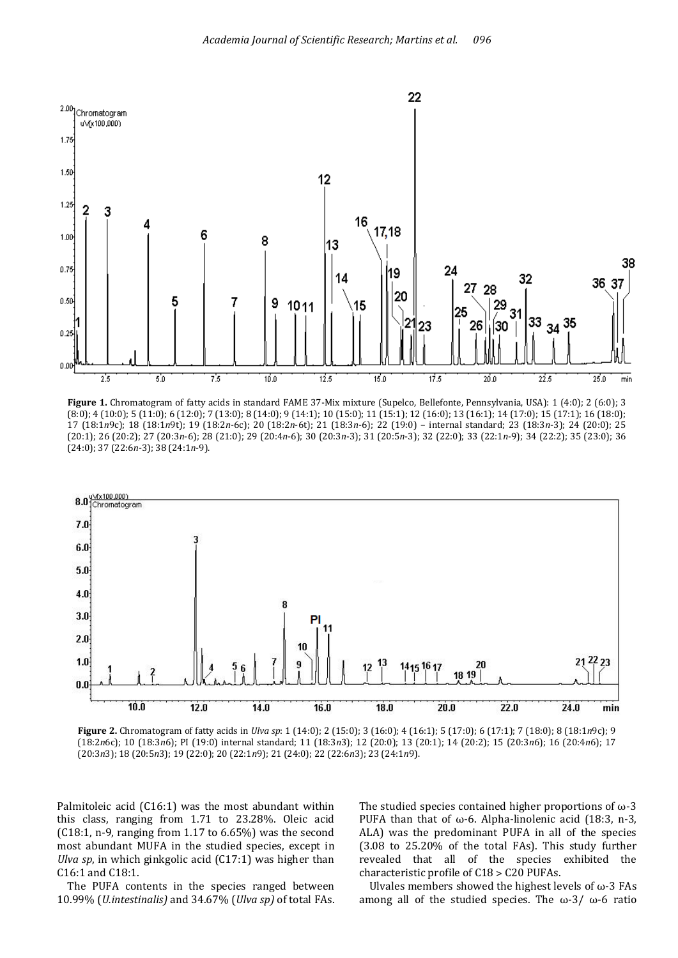

**Figure 1.** Chromatogram of fatty acids in standard FAME 37-Mix mixture (Supelco, Bellefonte, Pennsylvania, USA): 1 (4:0); 2 (6:0); 3 (8:0); 4 (10:0); 5 (11:0); 6 (12:0); 7 (13:0); 8 (14:0); 9 (14:1); 10 (15:0); 11 (15:1); 12 (16:0); 13 (16:1); 14 (17:0); 15 (17:1); 16 (18:0); 17 (18:1*n*9c); 18 (18:1*n*9t); 19 (18:2*n*-6c); 20 (18:2*n*-6t); 21 (18:3*n*-6); 22 (19:0) – internal standard; 23 (18:3*n*-3); 24 (20:0); 25 (20:1); 26 (20:2); 27 (20:3*n*-6); 28 (21:0); 29 (20:4*n*-6); 30 (20:3*n*-3); 31 (20:5*n*-3); 32 (22:0); 33 (22:1*n*-9); 34 (22:2); 35 (23:0); 36 (24:0); 37 (22:6*n*-3); 38 (24:1*n*-9).



**Figure 2.** Chromatogram of fatty acids in *Ulva sp*: 1 (14:0); 2 (15:0); 3 (16:0); 4 (16:1); 5 (17:0); 6 (17:1); 7 (18:0); 8 (18:1*n*9c); 9 (18:2*n*6c); 10 (18:3*n*6); PI (19:0) internal standard; 11 (18:3*n*3); 12 (20:0); 13 (20:1); 14 (20:2); 15 (20:3*n*6); 16 (20:4*n*6); 17 (20:3*n*3); 18 (20:5*n*3); 19 (22:0); 20 (22:1*n*9); 21 (24:0); 22 (22:6*n*3); 23 (24:1*n*9).

Palmitoleic acid (C16:1) was the most abundant within this class, ranging from 1.71 to 23.28%. Oleic acid (C18:1, n-9, ranging from 1.17 to 6.65%) was the second most abundant MUFA in the studied species, except in *Ulva sp*, in which ginkgolic acid (C17:1) was higher than C16:1 and C18:1.

The PUFA contents in the species ranged between 10.99% (*U.intestinalis)* and 34.67% (*Ulva sp)* of total FAs. The studied species contained higher proportions of  $\omega$ -3 PUFA than that of  $\omega$ -6. Alpha-linolenic acid (18:3, n-3, ALA) was the predominant PUFA in all of the species (3.08 to 25.20% of the total FAs). This study further revealed that all of the species exhibited the characteristic profile of C18 ˃ C20 PUFAs.

Ulvales members showed the highest levels of  $\omega$ -3 FAs among all of the studied species. The ω-3/ ω-6 ratio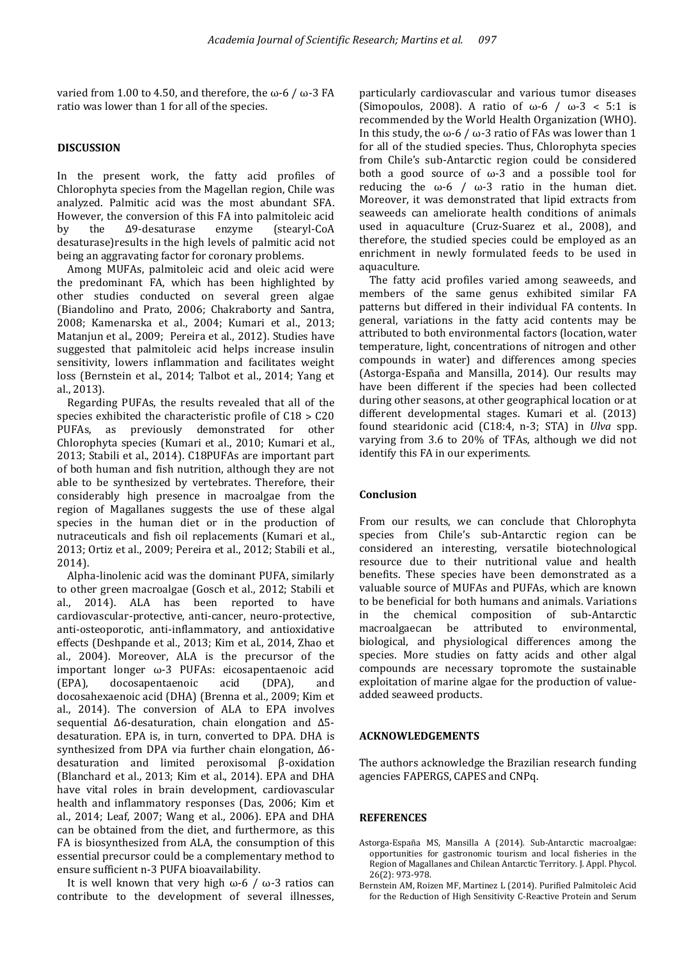varied from 1.00 to 4.50, and therefore, the ω-6 / ω-3 FA ratio was lower than 1 for all of the species.

# **DISCUSSION**

In the present work, the fatty acid profiles of Chlorophyta species from the Magellan region, Chile was analyzed. Palmitic acid was the most abundant SFA. However, the conversion of this FA into palmitoleic acid by the ∆9-desaturase enzyme (stearyl-CoA desaturase)results in the high levels of palmitic acid not being an aggravating factor for coronary problems.

Among MUFAs, palmitoleic acid and oleic acid were the predominant FA, which has been highlighted by other studies conducted on several green algae (Biandolino and Prato, 2006; Chakraborty and Santra, 2008; Kamenarska et al., 2004; Kumari et al., 2013; Matanjun et al., 2009; Pereira et al., 2012). Studies have suggested that palmitoleic acid helps increase insulin sensitivity, lowers inflammation and facilitates weight loss (Bernstein et al., 2014; Talbot et al., 2014; Yang et al., 2013).

Regarding PUFAs, the results revealed that all of the species exhibited the characteristic profile of  $C18 > C20$ PUFAs, as previously demonstrated for other Chlorophyta species (Kumari et al., 2010; Kumari et al., 2013; Stabili et al., 2014). C18PUFAs are important part of both human and fish nutrition, although they are not able to be synthesized by vertebrates. Therefore, their considerably high presence in macroalgae from the region of Magallanes suggests the use of these algal species in the human diet or in the production of nutraceuticals and fish oil replacements (Kumari et al., 2013; Ortiz et al., 2009; Pereira et al., 2012; Stabili et al., 2014).

Alpha-linolenic acid was the dominant PUFA, similarly to other green macroalgae (Gosch et al., 2012; Stabili et al., 2014). ALA has been reported to have cardiovascular-protective, anti-cancer, neuro-protective, anti-osteoporotic, anti-inflammatory, and antioxidative effects (Deshpande et al., 2013; Kim et al., 2014, Zhao et al., 2004). Moreover, ALA is the precursor of the important longer ω-3 PUFAs: eicosapentaenoic acid (EPA), docosapentaenoic acid (DPA), and docosahexaenoic acid (DHA) (Brenna et al., 2009; Kim et al., 2014). The conversion of ALA to EPA involves sequential ∆6-desaturation, chain elongation and ∆5 desaturation. EPA is, in turn, converted to DPA. DHA is synthesized from DPA via further chain elongation, ∆6 desaturation and limited peroxisomal β-oxidation (Blanchard et al., 2013; Kim et al., 2014). EPA and DHA have vital roles in brain development, cardiovascular health and inflammatory responses (Das, 2006; Kim et al., 2014; Leaf, 2007; Wang et al., 2006). EPA and DHA can be obtained from the diet, and furthermore, as this FA is biosynthesized from ALA, the consumption of this essential precursor could be a complementary method to ensure sufficient n-3 PUFA bioavailability.

It is well known that very high ω-6 / ω-3 ratios can contribute to the development of several illnesses,

particularly cardiovascular and various tumor diseases (Simopoulos, 2008). A ratio of  $\omega$ -6 /  $\omega$ -3 < 5:1 is recommended by the World Health Organization (WHO). In this study, the ω-6 / ω-3 ratio of FAs was lower than 1 for all of the studied species. Thus, Chlorophyta species from Chile's sub-Antarctic region could be considered both a good source of ω-3 and a possible tool for reducing the ω-6 / ω-3 ratio in the human diet. Moreover, it was demonstrated that lipid extracts from seaweeds can ameliorate health conditions of animals used in aquaculture (Cruz-Suarez et al., 2008), and therefore, the studied species could be employed as an enrichment in newly formulated feeds to be used in aquaculture.

The fatty acid profiles varied among seaweeds, and members of the same genus exhibited similar FA patterns but differed in their individual FA contents. In general, variations in the fatty acid contents may be attributed to both environmental factors (location, water temperature, light, concentrations of nitrogen and other compounds in water) and differences among species (Astorga-España and Mansilla, 2014). Our results may have been different if the species had been collected during other seasons, at other geographical location or at different developmental stages. Kumari et al. (2013) found stearidonic acid (C18:4, n-3; STA) in *Ulva* spp. varying from 3.6 to 20% of TFAs, although we did not identify this FA in our experiments.

# **Conclusion**

From our results, we can conclude that Chlorophyta species from Chile's sub-Antarctic region can be considered an interesting, versatile biotechnological resource due to their nutritional value and health benefits. These species have been demonstrated as a valuable source of MUFAs and PUFAs, which are known to be beneficial for both humans and animals. Variations in the chemical composition of sub-Antarctic macroalgaecan be attributed to environmental, biological, and physiological differences among the species. More studies on fatty acids and other algal compounds are necessary topromote the sustainable exploitation of marine algae for the production of valueadded seaweed products.

# **ACKNOWLEDGEMENTS**

The authors acknowledge the Brazilian research funding agencies FAPERGS, CAPES and CNPq.

# **REFERENCES**

- Astorga-España MS, Mansilla A (2014). Sub-Antarctic macroalgae: opportunities for gastronomic tourism and local fisheries in the Region of Magallanes and Chilean Antarctic Territory. J. Appl. Phycol. 26(2): 973-978.
- Bernstein AM, Roizen MF, Martinez L (2014). Purified Palmitoleic Acid for the Reduction of High Sensitivity C-Reactive Protein and Serum